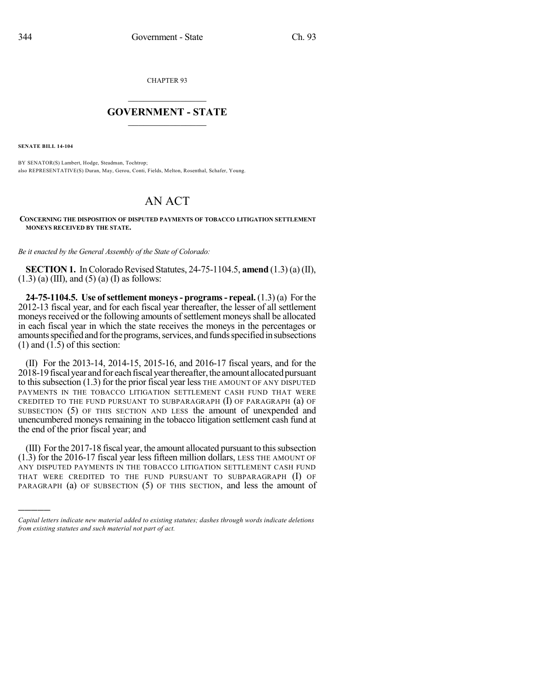CHAPTER 93

## $\overline{\phantom{a}}$  . The set of the set of the set of the set of the set of the set of the set of the set of the set of the set of the set of the set of the set of the set of the set of the set of the set of the set of the set o **GOVERNMENT - STATE**  $\_$

**SENATE BILL 14-104**

)))))

BY SENATOR(S) Lambert, Hodge, Steadman, Tochtrop; also REPRESENTATIVE(S) Duran, May, Gerou, Conti, Fields, Melton, Rosenthal, Schafer, Young.

## AN ACT

## **CONCERNING THE DISPOSITION OF DISPUTED PAYMENTS OF TOBACCO LITIGATION SETTLEMENT MONEYS RECEIVED BY THE STATE.**

*Be it enacted by the General Assembly of the State of Colorado:*

**SECTION 1.** In Colorado Revised Statutes,  $24-75-1104.5$ , **amend**  $(1.3)$  (a) (II),  $(1.3)$  (a) (III), and (5) (a) (I) as follows:

**24-75-1104.5. Use ofsettlement moneys- programs- repeal.** (1.3) (a) For the 2012-13 fiscal year, and for each fiscal year thereafter, the lesser of all settlement moneys received or the following amounts of settlement moneys shall be allocated in each fiscal year in which the state receives the moneys in the percentages or amounts specified and for the programs, services, and funds specified in subsections  $(1)$  and  $(1.5)$  of this section:

(II) For the 2013-14, 2014-15, 2015-16, and 2016-17 fiscal years, and for the 2018-19 fiscal year and for each fiscal year thereafter, the amount allocated pursuant to thissubsection (1.3) for the prior fiscal year less THE AMOUNT OF ANY DISPUTED PAYMENTS IN THE TOBACCO LITIGATION SETTLEMENT CASH FUND THAT WERE CREDITED TO THE FUND PURSUANT TO SUBPARAGRAPH  $(I)$  OF PARAGRAPH  $(a)$  OF SUBSECTION (5) OF THIS SECTION AND LESS the amount of unexpended and unencumbered moneys remaining in the tobacco litigation settlement cash fund at the end of the prior fiscal year; and

(III) Forthe 2017-18 fiscal year, the amount allocated pursuant to thissubsection (1.3) for the 2016-17 fiscal year less fifteen million dollars, LESS THE AMOUNT OF ANY DISPUTED PAYMENTS IN THE TOBACCO LITIGATION SETTLEMENT CASH FUND THAT WERE CREDITED TO THE FUND PURSUANT TO SUBPARAGRAPH (I) OF PARAGRAPH (a) OF SUBSECTION (5) OF THIS SECTION, and less the amount of

*Capital letters indicate new material added to existing statutes; dashes through words indicate deletions from existing statutes and such material not part of act.*